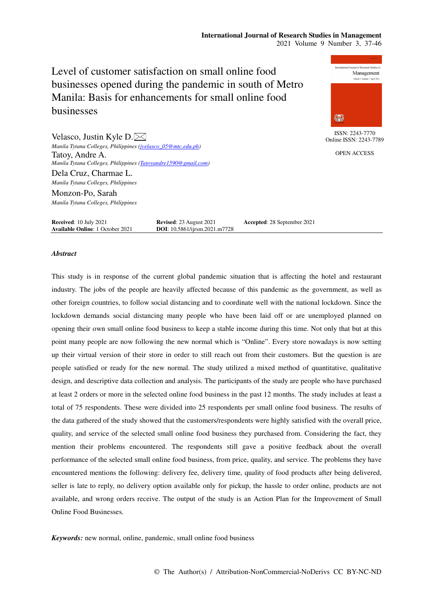# **International Journal of Research Studies in Management**  2021 Volume 9 Number 3, 37-46

Level of customer satisfaction on small online food businesses opened during the pandemic in south of Metro Manila: Basis for enhancements for small online food businesses



ISSN: 2243-7770 Online ISSN: 2243-7789

OPEN ACCESS

Velasco, Justin Kyle D. $\bowtie$ *Manila Tytana Colleges, Philippines (jvelasco\_05@mtc.edu.ph)*  Tatoy, Andre A. *Manila Tytana Colleges, Philippines (Tatoyandre1590@gmail.com)*  Dela Cruz, Charmae L. *Manila Tytana Colleges, Philippines*  Monzon-Po, Sarah *Manila Tytana Colleges, Philippines* 

**Received:** 10 July 2021 **Revised: 23 August 2021 Accepted: 28 September 2021 Available Online:** 1 October 2021 **DOI:** 10.5861/ijrsm.2021.m7728 **Available Online**: 1 October 2021

### *Abstract*

This study is in response of the current global pandemic situation that is affecting the hotel and restaurant industry. The jobs of the people are heavily affected because of this pandemic as the government, as well as other foreign countries, to follow social distancing and to coordinate well with the national lockdown. Since the lockdown demands social distancing many people who have been laid off or are unemployed planned on opening their own small online food business to keep a stable income during this time. Not only that but at this point many people are now following the new normal which is "Online". Every store nowadays is now setting up their virtual version of their store in order to still reach out from their customers. But the question is are people satisfied or ready for the new normal. The study utilized a mixed method of quantitative, qualitative design, and descriptive data collection and analysis. The participants of the study are people who have purchased at least 2 orders or more in the selected online food business in the past 12 months. The study includes at least a total of 75 respondents. These were divided into 25 respondents per small online food business. The results of the data gathered of the study showed that the customers/respondents were highly satisfied with the overall price, quality, and service of the selected small online food business they purchased from. Considering the fact, they mention their problems encountered. The respondents still gave a positive feedback about the overall performance of the selected small online food business, from price, quality, and service. The problems they have encountered mentions the following: delivery fee, delivery time, quality of food products after being delivered, seller is late to reply, no delivery option available only for pickup, the hassle to order online, products are not available, and wrong orders receive. The output of the study is an Action Plan for the Improvement of Small Online Food Businesses.

*Keywords:* new normal, online, pandemic, small online food business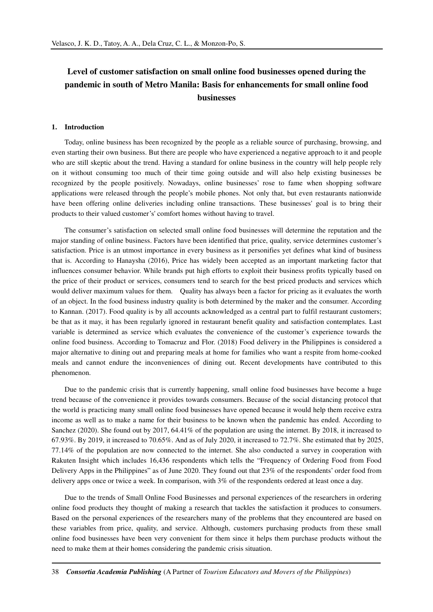# **Level of customer satisfaction on small online food businesses opened during the pandemic in south of Metro Manila: Basis for enhancements for small online food businesses**

# **1. Introduction**

Today, online business has been recognized by the people as a reliable source of purchasing, browsing, and even starting their own business. But there are people who have experienced a negative approach to it and people who are still skeptic about the trend. Having a standard for online business in the country will help people rely on it without consuming too much of their time going outside and will also help existing businesses be recognized by the people positively. Nowadays, online businesses' rose to fame when shopping software applications were released through the people's mobile phones. Not only that, but even restaurants nationwide have been offering online deliveries including online transactions. These businesses' goal is to bring their products to their valued customer's' comfort homes without having to travel.

The consumer's satisfaction on selected small online food businesses will determine the reputation and the major standing of online business. Factors have been identified that price, quality, service determines customer's satisfaction. Price is an utmost importance in every business as it personifies yet defines what kind of business that is. According to Hanaysha (2016), Price has widely been accepted as an important marketing factor that influences consumer behavior. While brands put high efforts to exploit their business profits typically based on the price of their product or services, consumers tend to search for the best priced products and services which would deliver maximum values for them. Quality has always been a factor for pricing as it evaluates the worth of an object. In the food business industry quality is both determined by the maker and the consumer. According to Kannan. (2017). Food quality is by all accounts acknowledged as a central part to fulfil restaurant customers; be that as it may, it has been regularly ignored in restaurant benefit quality and satisfaction contemplates. Last variable is determined as service which evaluates the convenience of the customer's experience towards the online food business. According to Tomacruz and Flor. (2018) Food delivery in the Philippines is considered a major alternative to dining out and preparing meals at home for families who want a respite from home-cooked meals and cannot endure the inconveniences of dining out. Recent developments have contributed to this phenomenon.

Due to the pandemic crisis that is currently happening, small online food businesses have become a huge trend because of the convenience it provides towards consumers. Because of the social distancing protocol that the world is practicing many small online food businesses have opened because it would help them receive extra income as well as to make a name for their business to be known when the pandemic has ended. According to Sanchez (2020). She found out by 2017, 64.41% of the population are using the internet. By 2018, it increased to 67.93%. By 2019, it increased to 70.65%. And as of July 2020, it increased to 72.7%. She estimated that by 2025, 77.14% of the population are now connected to the internet. She also conducted a survey in cooperation with Rakuten Insight which includes 16,436 respondents which tells the "Frequency of Ordering Food from Food Delivery Apps in the Philippines" as of June 2020. They found out that 23% of the respondents' order food from delivery apps once or twice a week. In comparison, with 3% of the respondents ordered at least once a day.

Due to the trends of Small Online Food Businesses and personal experiences of the researchers in ordering online food products they thought of making a research that tackles the satisfaction it produces to consumers. Based on the personal experiences of the researchers many of the problems that they encountered are based on these variables from price, quality, and service. Although, customers purchasing products from these small online food businesses have been very convenient for them since it helps them purchase products without the need to make them at their homes considering the pandemic crisis situation.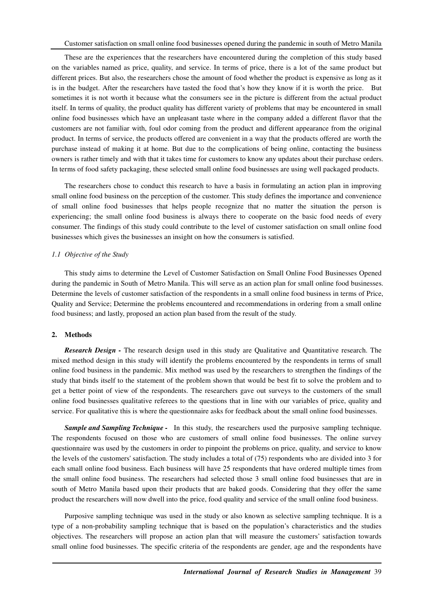These are the experiences that the researchers have encountered during the completion of this study based on the variables named as price, quality, and service. In terms of price, there is a lot of the same product but different prices. But also, the researchers chose the amount of food whether the product is expensive as long as it is in the budget. After the researchers have tasted the food that's how they know if it is worth the price. But sometimes it is not worth it because what the consumers see in the picture is different from the actual product itself. In terms of quality, the product quality has different variety of problems that may be encountered in small online food businesses which have an unpleasant taste where in the company added a different flavor that the customers are not familiar with, foul odor coming from the product and different appearance from the original product. In terms of service, the products offered are convenient in a way that the products offered are worth the purchase instead of making it at home. But due to the complications of being online, contacting the business owners is rather timely and with that it takes time for customers to know any updates about their purchase orders. In terms of food safety packaging, these selected small online food businesses are using well packaged products.

The researchers chose to conduct this research to have a basis in formulating an action plan in improving small online food business on the perception of the customer. This study defines the importance and convenience of small online food businesses that helps people recognize that no matter the situation the person is experiencing; the small online food business is always there to cooperate on the basic food needs of every consumer. The findings of this study could contribute to the level of customer satisfaction on small online food businesses which gives the businesses an insight on how the consumers is satisfied.

#### *1.1 Objective of the Study*

This study aims to determine the Level of Customer Satisfaction on Small Online Food Businesses Opened during the pandemic in South of Metro Manila. This will serve as an action plan for small online food businesses. Determine the levels of customer satisfaction of the respondents in a small online food business in terms of Price, Quality and Service; Determine the problems encountered and recommendations in ordering from a small online food business; and lastly, proposed an action plan based from the result of the study.

#### **2. Methods**

*Research Design - The research design used in this study are Qualitative and Quantitative research. The* mixed method design in this study will identify the problems encountered by the respondents in terms of small online food business in the pandemic. Mix method was used by the researchers to strengthen the findings of the study that binds itself to the statement of the problem shown that would be best fit to solve the problem and to get a better point of view of the respondents. The researchers gave out surveys to the customers of the small online food businesses qualitative referees to the questions that in line with our variables of price, quality and service. For qualitative this is where the questionnaire asks for feedback about the small online food businesses.

*Sample and Sampling Technique -* In this study, the researchers used the purposive sampling technique. The respondents focused on those who are customers of small online food businesses. The online survey questionnaire was used by the customers in order to pinpoint the problems on price, quality, and service to know the levels of the customers' satisfaction. The study includes a total of (75) respondents who are divided into 3 for each small online food business. Each business will have 25 respondents that have ordered multiple times from the small online food business. The researchers had selected those 3 small online food businesses that are in south of Metro Manila based upon their products that are baked goods. Considering that they offer the same product the researchers will now dwell into the price, food quality and service of the small online food business.

Purposive sampling technique was used in the study or also known as selective sampling technique. It is a type of a non-probability sampling technique that is based on the population's characteristics and the studies objectives. The researchers will propose an action plan that will measure the customers' satisfaction towards small online food businesses. The specific criteria of the respondents are gender, age and the respondents have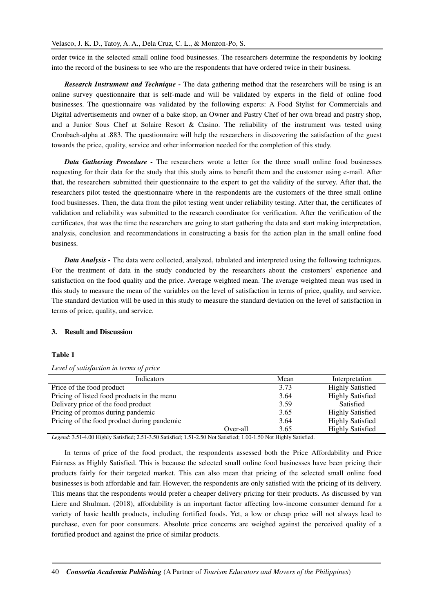order twice in the selected small online food businesses. The researchers determine the respondents by looking into the record of the business to see who are the respondents that have ordered twice in their business.

*Research Instrument and Technique -* The data gathering method that the researchers will be using is an online survey questionnaire that is self-made and will be validated by experts in the field of online food businesses. The questionnaire was validated by the following experts: A Food Stylist for Commercials and Digital advertisements and owner of a bake shop, an Owner and Pastry Chef of her own bread and pastry shop, and a Junior Sous Chef at Solaire Resort & Casino. The reliability of the instrument was tested using Cronbach-alpha at .883. The questionnaire will help the researchers in discovering the satisfaction of the guest towards the price, quality, service and other information needed for the completion of this study.

*Data Gathering Procedure -* The researchers wrote a letter for the three small online food businesses requesting for their data for the study that this study aims to benefit them and the customer using e-mail. After that, the researchers submitted their questionnaire to the expert to get the validity of the survey. After that, the researchers pilot tested the questionnaire where in the respondents are the customers of the three small online food businesses. Then, the data from the pilot testing went under reliability testing. After that, the certificates of validation and reliability was submitted to the research coordinator for verification. After the verification of the certificates, that was the time the researchers are going to start gathering the data and start making interpretation, analysis, conclusion and recommendations in constructing a basis for the action plan in the small online food business.

*Data Analysis -* The data were collected, analyzed, tabulated and interpreted using the following techniques. For the treatment of data in the study conducted by the researchers about the customers' experience and satisfaction on the food quality and the price. Average weighted mean. The average weighted mean was used in this study to measure the mean of the variables on the level of satisfaction in terms of price, quality, and service. The standard deviation will be used in this study to measure the standard deviation on the level of satisfaction in terms of price, quality, and service.

# **3. Result and Discussion**

# **Table 1**

|  |  |  | Level of satisfaction in terms of price |
|--|--|--|-----------------------------------------|
|  |  |  |                                         |

| Indicators                                  |          | Mean                    | Interpretation          |
|---------------------------------------------|----------|-------------------------|-------------------------|
| Price of the food product                   | 3.73     | <b>Highly Satisfied</b> |                         |
| Pricing of listed food products in the menu | 3.64     | <b>Highly Satisfied</b> |                         |
| Delivery price of the food product          | 3.59     | Satisfied               |                         |
| Pricing of promos during pandemic           |          | 3.65                    | <b>Highly Satisfied</b> |
| Pricing of the food product during pandemic |          | 3.64                    | <b>Highly Satisfied</b> |
|                                             | Over-all | 3.65                    | <b>Highly Satisfied</b> |

*Legend*: 3.51-4.00 Highly Satisfied; 2.51-3.50 Satisfied; 1.51-2.50 Not Satisfied; 1.00-1.50 Not Highly Satisfied.

In terms of price of the food product, the respondents assessed both the Price Affordability and Price Fairness as Highly Satisfied. This is because the selected small online food businesses have been pricing their products fairly for their targeted market. This can also mean that pricing of the selected small online food businesses is both affordable and fair. However, the respondents are only satisfied with the pricing of its delivery. This means that the respondents would prefer a cheaper delivery pricing for their products. As discussed by van Liere and Shulman. (2018), affordability is an important factor affecting low-income consumer demand for a variety of basic health products, including fortified foods. Yet, a low or cheap price will not always lead to purchase, even for poor consumers. Absolute price concerns are weighed against the perceived quality of a fortified product and against the price of similar products.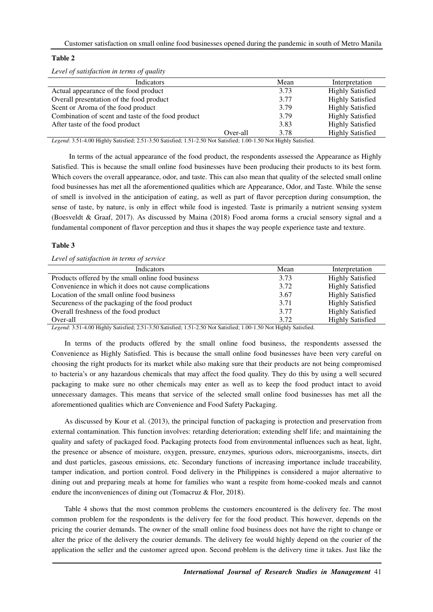# **Table 2**

*Level of satisfaction in terms of quality* 

| Indicators                                         |          | Mean                    | Interpretation          |
|----------------------------------------------------|----------|-------------------------|-------------------------|
| Actual appearance of the food product              | 3.73     | <b>Highly Satisfied</b> |                         |
| Overall presentation of the food product           |          | 3.77                    | <b>Highly Satisfied</b> |
| Scent or Aroma of the food product                 |          | 3.79                    | <b>Highly Satisfied</b> |
| Combination of scent and taste of the food product |          | 3.79                    | <b>Highly Satisfied</b> |
| After taste of the food product                    |          | 3.83                    | <b>Highly Satisfied</b> |
|                                                    | Over-all | 3.78                    | <b>Highly Satisfied</b> |

*Legend*: 3.51-4.00 Highly Satisfied; 2.51-3.50 Satisfied; 1.51-2.50 Not Satisfied; 1.00-1.50 Not Highly Satisfied.

In terms of the actual appearance of the food product, the respondents assessed the Appearance as Highly Satisfied. This is because the small online food businesses have been producing their products to its best form. Which covers the overall appearance, odor, and taste. This can also mean that quality of the selected small online food businesses has met all the aforementioned qualities which are Appearance, Odor, and Taste. While the sense of smell is involved in the anticipation of eating, as well as part of flavor perception during consumption, the sense of taste, by nature, is only in effect while food is ingested. Taste is primarily a nutrient sensing system (Boesveldt & Graaf, 2017). As discussed by Maina (2018) Food aroma forms a crucial sensory signal and a fundamental component of flavor perception and thus it shapes the way people experience taste and texture.

# **Table 3**

*Level of satisfaction in terms of service* 

| Indicators                                           | Mean | Interpretation          |
|------------------------------------------------------|------|-------------------------|
| Products offered by the small online food business   | 3.73 | <b>Highly Satisfied</b> |
| Convenience in which it does not cause complications | 3.72 | <b>Highly Satisfied</b> |
| Location of the small online food business           | 3.67 | <b>Highly Satisfied</b> |
| Secureness of the packaging of the food product      | 3.71 | <b>Highly Satisfied</b> |
| Overall freshness of the food product                | 3.77 | <b>Highly Satisfied</b> |
| Over-all                                             | 3.72 | <b>Highly Satisfied</b> |
|                                                      |      |                         |

*Legend*: 3.51-4.00 Highly Satisfied; 2.51-3.50 Satisfied; 1.51-2.50 Not Satisfied; 1.00-1.50 Not Highly Satisfied.

In terms of the products offered by the small online food business, the respondents assessed the Convenience as Highly Satisfied. This is because the small online food businesses have been very careful on choosing the right products for its market while also making sure that their products are not being compromised to bacteria's or any hazardous chemicals that may affect the food quality. They do this by using a well secured packaging to make sure no other chemicals may enter as well as to keep the food product intact to avoid unnecessary damages. This means that service of the selected small online food businesses has met all the aforementioned qualities which are Convenience and Food Safety Packaging.

As discussed by Kour et al. (2013), the principal function of packaging is protection and preservation from external contamination. This function involves: retarding deterioration; extending shelf life; and maintaining the quality and safety of packaged food. Packaging protects food from environmental influences such as heat, light, the presence or absence of moisture, oxygen, pressure, enzymes, spurious odors, microorganisms, insects, dirt and dust particles, gaseous emissions, etc. Secondary functions of increasing importance include traceability, tamper indication, and portion control. Food delivery in the Philippines is considered a major alternative to dining out and preparing meals at home for families who want a respite from home-cooked meals and cannot endure the inconveniences of dining out (Tomacruz & Flor, 2018).

Table 4 shows that the most common problems the customers encountered is the delivery fee. The most common problem for the respondents is the delivery fee for the food product. This however, depends on the pricing the courier demands. The owner of the small online food business does not have the right to change or alter the price of the delivery the courier demands. The delivery fee would highly depend on the courier of the application the seller and the customer agreed upon. Second problem is the delivery time it takes. Just like the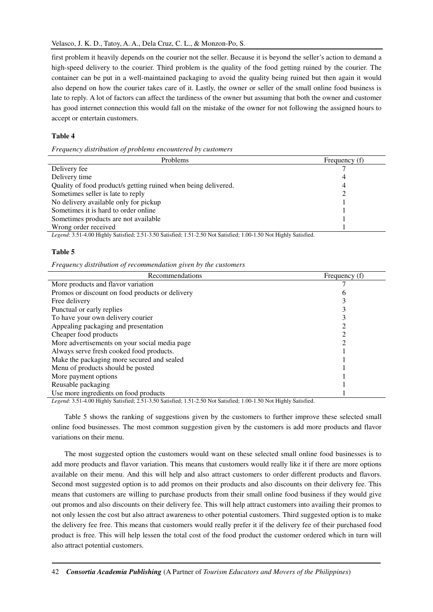first problem it heavily depends on the courier not the seller. Because it is beyond the seller's action to demand a high-speed delivery to the courier. Third problem is the quality of the food getting ruined by the courier. The container can be put in a well-maintained packaging to avoid the quality being ruined but then again it would also depend on how the courier takes care of it. Lastly, the owner or seller of the small online food business is late to reply. A lot of factors can affect the tardiness of the owner but assuming that both the owner and customer has good internet connection this would fall on the mistake of the owner for not following the assigned hours to accept or entertain customers.

# **Table 4**

#### *Frequency distribution of problems encountered by customers*

| <b>Problems</b>                                                | Frequency (f) |
|----------------------------------------------------------------|---------------|
| Delivery fee                                                   |               |
| Delivery time                                                  |               |
| Quality of food product/s getting ruined when being delivered. |               |
| Sometimes seller is late to reply                              |               |
| No delivery available only for pickup                          |               |
| Sometimes it is hard to order online                           |               |
| Sometimes products are not available                           |               |
| Wrong order received                                           |               |
|                                                                |               |

*Legend*: 3.51-4.00 Highly Satisfied; 2.51-3.50 Satisfied; 1.51-2.50 Not Satisfied; 1.00-1.50 Not Highly Satisfied.

# **Table 5**

*Frequency distribution of recommendation given by the customers* 

| Recommendations                                 | Frequency (f) |
|-------------------------------------------------|---------------|
| More products and flavor variation              |               |
| Promos or discount on food products or delivery |               |
| Free delivery                                   |               |
| Punctual or early replies                       |               |
| To have your own delivery courier               |               |
| Appealing packaging and presentation            |               |
| Cheaper food products                           |               |
| More advertisements on your social media page   |               |
| Always serve fresh cooked food products.        |               |
| Make the packaging more secured and sealed      |               |
| Menu of products should be posted               |               |
| More payment options                            |               |
| Reusable packaging                              |               |
| Use more ingredients on food products           |               |

*Legend*: 3.51-4.00 Highly Satisfied; 2.51-3.50 Satisfied; 1.51-2.50 Not Satisfied; 1.00-1.50 Not Highly Satisfied.

Table 5 shows the ranking of suggestions given by the customers to further improve these selected small online food businesses. The most common suggestion given by the customers is add more products and flavor variations on their menu.

The most suggested option the customers would want on these selected small online food businesses is to add more products and flavor variation. This means that customers would really like it if there are more options available on their menu. And this will help and also attract customers to order different products and flavors. Second most suggested option is to add promos on their products and also discounts on their delivery fee. This means that customers are willing to purchase products from their small online food business if they would give out promos and also discounts on their delivery fee. This will help attract customers into availing their promos to not only lessen the cost but also attract awareness to other potential customers. Third suggested option is to make the delivery fee free. This means that customers would really prefer it if the delivery fee of their purchased food product is free. This will help lessen the total cost of the food product the customer ordered which in turn will also attract potential customers.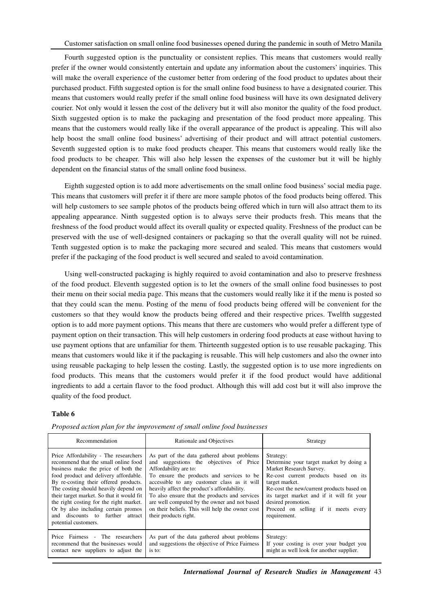Fourth suggested option is the punctuality or consistent replies. This means that customers would really prefer if the owner would consistently entertain and update any information about the customers' inquiries. This will make the overall experience of the customer better from ordering of the food product to updates about their purchased product. Fifth suggested option is for the small online food business to have a designated courier. This means that customers would really prefer if the small online food business will have its own designated delivery courier. Not only would it lessen the cost of the delivery but it will also monitor the quality of the food product. Sixth suggested option is to make the packaging and presentation of the food product more appealing. This means that the customers would really like if the overall appearance of the product is appealing. This will also help boost the small online food business' advertising of their product and will attract potential customers. Seventh suggested option is to make food products cheaper. This means that customers would really like the food products to be cheaper. This will also help lessen the expenses of the customer but it will be highly dependent on the financial status of the small online food business.

Eighth suggested option is to add more advertisements on the small online food business' social media page. This means that customers will prefer it if there are more sample photos of the food products being offered. This will help customers to see sample photos of the products being offered which in turn will also attract them to its appealing appearance. Ninth suggested option is to always serve their products fresh. This means that the freshness of the food product would affect its overall quality or expected quality. Freshness of the product can be preserved with the use of well-designed containers or packaging so that the overall quality will not be ruined. Tenth suggested option is to make the packaging more secured and sealed. This means that customers would prefer if the packaging of the food product is well secured and sealed to avoid contamination.

Using well-constructed packaging is highly required to avoid contamination and also to preserve freshness of the food product. Eleventh suggested option is to let the owners of the small online food businesses to post their menu on their social media page. This means that the customers would really like it if the menu is posted so that they could scan the menu. Posting of the menu of food products being offered will be convenient for the customers so that they would know the products being offered and their respective prices. Twelfth suggested option is to add more payment options. This means that there are customers who would prefer a different type of payment option on their transaction. This will help customers in ordering food products at ease without having to use payment options that are unfamiliar for them. Thirteenth suggested option is to use reusable packaging. This means that customers would like it if the packaging is reusable. This will help customers and also the owner into using reusable packaging to help lessen the costing. Lastly, the suggested option is to use more ingredients on food products. This means that the customers would prefer it if the food product would have additional ingredients to add a certain flavor to the food product. Although this will add cost but it will also improve the quality of the food product.

### **Table 6**

| Recommendation                                                                                                                                                                                                                                                                                                                                                                                                                            | Rationale and Objectives                                                                                                                                                                                                                                                                                                                                                                                                                | Strategy                                                                                                                                                                                                                                                                                                           |
|-------------------------------------------------------------------------------------------------------------------------------------------------------------------------------------------------------------------------------------------------------------------------------------------------------------------------------------------------------------------------------------------------------------------------------------------|-----------------------------------------------------------------------------------------------------------------------------------------------------------------------------------------------------------------------------------------------------------------------------------------------------------------------------------------------------------------------------------------------------------------------------------------|--------------------------------------------------------------------------------------------------------------------------------------------------------------------------------------------------------------------------------------------------------------------------------------------------------------------|
| Price Affordability - The researchers<br>recommend that the small online food<br>business make the price of both the<br>food product and delivery affordable.<br>By re-costing their offered products.<br>The costing should heavily depend on<br>their target market. So that it would fit<br>the right costing for the right market.<br>Or by also including certain promos<br>and discounts to further attract<br>potential customers. | As part of the data gathered about problems<br>and suggestions the objectives of Price<br>Affordability are to:<br>To ensure the products and services to be<br>accessible to any customer class as it will<br>heavily affect the product's affordability.<br>To also ensure that the products and services<br>are well computed by the owner and not based<br>on their beliefs. This will help the owner cost<br>their products right. | Strategy:<br>Determine your target market by doing a<br>Market Research Survey.<br>Re-cost current products based on its<br>target market.<br>Re-cost the new/current products based on<br>its target market and if it will fit your<br>desired promotion.<br>Proceed on selling if it meets every<br>requirement. |
| Price Fairness - The researchers<br>recommend that the businesses would<br>contact new suppliers to adjust the                                                                                                                                                                                                                                                                                                                            | As part of the data gathered about problems<br>and suggestions the objective of Price Fairness<br>is to:                                                                                                                                                                                                                                                                                                                                | Strategy:<br>If your costing is over your budget you<br>might as well look for another supplier.                                                                                                                                                                                                                   |

*Proposed action plan for the improvement of small online food businesses*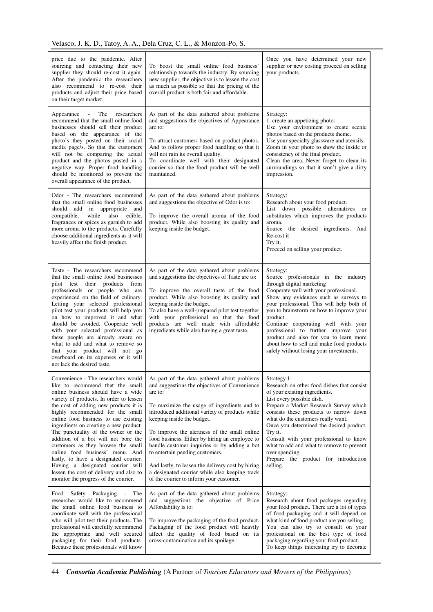| price due to the pandemic. After<br>sourcing and contacting their new<br>supplier they should re-cost it again.<br>After the pandemic the researchers<br>also recommend to re-cost their<br>products and adjust their price based<br>on their target market.                                                                                                                                                                                                                                                                                                                                                                                   | To boost the small online food business'<br>relationship towards the industry. By sourcing<br>new supplier, the objective is to lessen the cost<br>as much as possible so that the pricing of the<br>overall product is both fair and affordable.                                                                                                                                                                                                                                                                                                                             | Once you have determined your new<br>supplier or new costing proceed on selling<br>your products.                                                                                                                                                                                                                                                                                                                                                                                      |
|------------------------------------------------------------------------------------------------------------------------------------------------------------------------------------------------------------------------------------------------------------------------------------------------------------------------------------------------------------------------------------------------------------------------------------------------------------------------------------------------------------------------------------------------------------------------------------------------------------------------------------------------|-------------------------------------------------------------------------------------------------------------------------------------------------------------------------------------------------------------------------------------------------------------------------------------------------------------------------------------------------------------------------------------------------------------------------------------------------------------------------------------------------------------------------------------------------------------------------------|----------------------------------------------------------------------------------------------------------------------------------------------------------------------------------------------------------------------------------------------------------------------------------------------------------------------------------------------------------------------------------------------------------------------------------------------------------------------------------------|
| The<br>$\mathcal{L}_{\mathrm{max}}$<br>researchers<br>Appearance<br>recommend that the small online food<br>businesses should sell their product<br>based on the appearance of the<br>photo's they posted on their social<br>media page/s. So that the customers<br>will not be comparing the actual<br>product and the photos posted in a<br>negative way. Proper food handling<br>should be monitored to prevent the<br>overall appearance of the product.                                                                                                                                                                                   | As part of the data gathered about problems<br>and suggestions the objectives of Appearance<br>are to:<br>To attract customers based on product photos.<br>And to follow proper food handling so that it<br>will not ruin its overall quality.<br>To coordinate well with their designated<br>courier so that the food product will be well<br>maintained.                                                                                                                                                                                                                    | Strategy:<br>1. create an appetizing photo:<br>Use your environment to create scenic<br>photos based on the products theme.<br>Use your specialty glassware and utensils.<br>Zoom in your photo to show the inside or<br>consistency of the final product.<br>Clean the area. Never forget to clean its<br>surroundings so that it won't give a dirty<br>impression.                                                                                                                   |
| Odor - The researchers recommend<br>that the small online food businesses<br>should add in appropriate and<br>while also<br>compatible,<br>edible,<br>fragrances or spices as garnish to add<br>more aroma to the products. Carefully<br>choose additional ingredients as it will<br>heavily affect the finish product.                                                                                                                                                                                                                                                                                                                        | As part of the data gathered about problems<br>and suggestions the objective of Odor is to:<br>To improve the overall aroma of the food<br>product. While also boosting its quality and<br>keeping inside the budget.                                                                                                                                                                                                                                                                                                                                                         | Strategy:<br>Research about your food product.<br>List down possible alternatives<br>or<br>substitutes which improves the products<br>aroma.<br>Source the desired ingredients. And<br>Re-cost it<br>Try it.<br>Proceed on selling your product.                                                                                                                                                                                                                                       |
| Taste - The researchers recommend<br>that the small online food businesses<br>pilot test their products from<br>professionals or people who are<br>experienced on the field of culinary.<br>Letting your selected professional<br>pilot test your products will help you<br>on how to improved it and what<br>should be avoided. Cooperate well<br>with your selected professional as<br>these people are already aware on<br>what to add and what to remove so<br>that your product will not go<br>overboard on its expenses or it will<br>not lack the desired taste.                                                                        | As part of the data gathered about problems<br>and suggestions the objectives of Taste are to:<br>To improve the overall taste of the food<br>product. While also boosting its quality and<br>keeping inside the budget.<br>To also have a well-prepared pilot test together<br>with your professional so that the food<br>products are well made with affordable<br>ingredients while also having a great taste.                                                                                                                                                             | Strategy:<br>Source professionals in the industry<br>through digital marketing<br>Cooperate well with your professional.<br>Show any evidences such as surveys to<br>your professional. This will help both of<br>you to brainstorm on how to improve your<br>product.<br>Continue cooperating well with your<br>professional to further improve your<br>product and also for you to learn more<br>about how to sell and make food products<br>safely without losing your investments. |
| Convenience - The researchers would<br>like to recommend that the small<br>online business should have a wide<br>variety of products. In order to lessen<br>the cost of adding new products it is<br>highly recommended for the small<br>online food business to use existing<br>ingredients on creating a new product.<br>The punctuality of the owner or the<br>addition of a bot will not bore the<br>customers as they browse the small<br>online food business' menu. And<br>lastly, to have a designated courier.<br>Having a designated courier will<br>lessen the cost of delivery and also to<br>monitor the progress of the courier. | As part of the data gathered about problems<br>and suggestions the objectives of Convenience<br>are to:<br>To maximize the usage of ingredients and to<br>introduced additional variety of products while<br>keeping inside the budget.<br>To improve the alertness of the small online<br>food business. Either by hiring an employee to<br>handle customer inquiries or by adding a bot<br>to entertain pending customers.<br>And lastly, to lessen the delivery cost by hiring<br>a designated courier while also keeping track<br>of the courier to inform your customer. | Strategy 1:<br>Research on other food dishes that consist<br>of your existing ingredients.<br>List every possible dish.<br>Prepare a Market Research Survey which<br>consists these products to narrow down<br>what do the customers really want.<br>Once you determined the desired product.<br>Try it.<br>Consult with your professional to know<br>what to add and what to remove to prevent<br>over spending.<br>Prepare the product for introduction<br>selling.                  |
| Food Safety Packaging<br>The<br>$\overline{\phantom{a}}$<br>researcher would like to recommend<br>the small online food business to<br>coordinate well with the professional<br>who will pilot test their products. The<br>professional will carefully recommend<br>the appropriate and well secured<br>packaging for their food products.<br>Because these professionals will know                                                                                                                                                                                                                                                            | As part of the data gathered about problems<br>and suggestions the objective of Price<br>Affordability is to:<br>To improve the packaging of the food product.<br>Packaging of the food product will heavily<br>affect the quality of food based on its<br>cross-contamination and its spoilage.                                                                                                                                                                                                                                                                              | Strategy:<br>Research about food packages regarding<br>your food product. There are a lot of types<br>of food packaging and it will depend on<br>what kind of food product are you selling.<br>You can also try to consult on your<br>professional on the best type of food<br>packaging regarding your food product.<br>To keep things interesting try to decorate                                                                                                                    |

44 *Consortia Academia Publishing* (A Partner of *Tourism Educators and Movers of the Philippines*)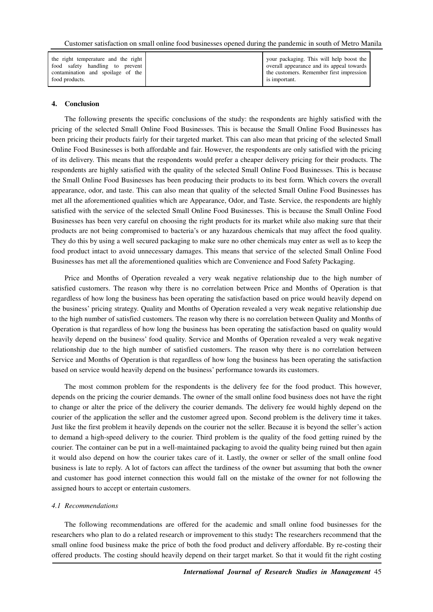| the right temperature and the right<br>food safety handling to prevent | your packaging. This will help boost the<br>overall appearance and its appeal towards |
|------------------------------------------------------------------------|---------------------------------------------------------------------------------------|
| contamination and spoilage of the                                      | the customers. Remember first impression                                              |
| food products.                                                         | is important.                                                                         |

#### **4. Conclusion**

The following presents the specific conclusions of the study: the respondents are highly satisfied with the pricing of the selected Small Online Food Businesses. This is because the Small Online Food Businesses has been pricing their products fairly for their targeted market. This can also mean that pricing of the selected Small Online Food Businesses is both affordable and fair. However, the respondents are only satisfied with the pricing of its delivery. This means that the respondents would prefer a cheaper delivery pricing for their products. The respondents are highly satisfied with the quality of the selected Small Online Food Businesses. This is because the Small Online Food Businesses has been producing their products to its best form. Which covers the overall appearance, odor, and taste. This can also mean that quality of the selected Small Online Food Businesses has met all the aforementioned qualities which are Appearance, Odor, and Taste. Service, the respondents are highly satisfied with the service of the selected Small Online Food Businesses. This is because the Small Online Food Businesses has been very careful on choosing the right products for its market while also making sure that their products are not being compromised to bacteria's or any hazardous chemicals that may affect the food quality. They do this by using a well secured packaging to make sure no other chemicals may enter as well as to keep the food product intact to avoid unnecessary damages. This means that service of the selected Small Online Food Businesses has met all the aforementioned qualities which are Convenience and Food Safety Packaging.

Price and Months of Operation revealed a very weak negative relationship due to the high number of satisfied customers. The reason why there is no correlation between Price and Months of Operation is that regardless of how long the business has been operating the satisfaction based on price would heavily depend on the business' pricing strategy. Quality and Months of Operation revealed a very weak negative relationship due to the high number of satisfied customers. The reason why there is no correlation between Quality and Months of Operation is that regardless of how long the business has been operating the satisfaction based on quality would heavily depend on the business' food quality. Service and Months of Operation revealed a very weak negative relationship due to the high number of satisfied customers. The reason why there is no correlation between Service and Months of Operation is that regardless of how long the business has been operating the satisfaction based on service would heavily depend on the business' performance towards its customers.

The most common problem for the respondents is the delivery fee for the food product. This however, depends on the pricing the courier demands. The owner of the small online food business does not have the right to change or alter the price of the delivery the courier demands. The delivery fee would highly depend on the courier of the application the seller and the customer agreed upon. Second problem is the delivery time it takes. Just like the first problem it heavily depends on the courier not the seller. Because it is beyond the seller's action to demand a high-speed delivery to the courier. Third problem is the quality of the food getting ruined by the courier. The container can be put in a well-maintained packaging to avoid the quality being ruined but then again it would also depend on how the courier takes care of it. Lastly, the owner or seller of the small online food business is late to reply. A lot of factors can affect the tardiness of the owner but assuming that both the owner and customer has good internet connection this would fall on the mistake of the owner for not following the assigned hours to accept or entertain customers.

### *4.1 Recommendations*

The following recommendations are offered for the academic and small online food businesses for the researchers who plan to do a related research or improvement to this study**:** The researchers recommend that the small online food business make the price of both the food product and delivery affordable. By re-costing their offered products. The costing should heavily depend on their target market. So that it would fit the right costing